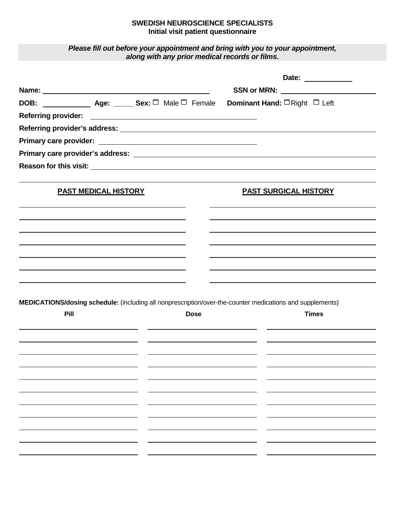## **SWEDISH NEUROSCIENCE SPECIALISTS Initial visit patient questionnaire**

*Please fill out before your appointment and bring with you to your appointment, along with any prior medical records or films.*

|                                                         |                             |  |                                      |  | Date: ___________                                                                                         |  |
|---------------------------------------------------------|-----------------------------|--|--------------------------------------|--|-----------------------------------------------------------------------------------------------------------|--|
|                                                         |                             |  | SSN or MRN: ________________________ |  |                                                                                                           |  |
| DOB: _________________ Age: ______ Sex: □ Male □ Female |                             |  |                                      |  | Dominant Hand: $\Box$ Right $\Box$ Left                                                                   |  |
|                                                         |                             |  |                                      |  |                                                                                                           |  |
|                                                         |                             |  |                                      |  |                                                                                                           |  |
|                                                         |                             |  |                                      |  |                                                                                                           |  |
|                                                         |                             |  |                                      |  |                                                                                                           |  |
|                                                         |                             |  |                                      |  |                                                                                                           |  |
|                                                         | <b>PAST MEDICAL HISTORY</b> |  |                                      |  | <b>PAST SURGICAL HISTORY</b>                                                                              |  |
|                                                         |                             |  |                                      |  |                                                                                                           |  |
|                                                         |                             |  |                                      |  |                                                                                                           |  |
|                                                         |                             |  |                                      |  |                                                                                                           |  |
|                                                         |                             |  |                                      |  |                                                                                                           |  |
|                                                         |                             |  |                                      |  |                                                                                                           |  |
|                                                         |                             |  |                                      |  |                                                                                                           |  |
|                                                         |                             |  |                                      |  |                                                                                                           |  |
|                                                         |                             |  |                                      |  | MEDICATIONS/dosing schedule: (including all nonprescription/over-the-counter medications and supplements) |  |
| Pill                                                    |                             |  | <b>Dose</b>                          |  | <b>Times</b>                                                                                              |  |
|                                                         |                             |  |                                      |  |                                                                                                           |  |
|                                                         |                             |  |                                      |  |                                                                                                           |  |
|                                                         |                             |  |                                      |  |                                                                                                           |  |
|                                                         |                             |  |                                      |  |                                                                                                           |  |
|                                                         |                             |  |                                      |  |                                                                                                           |  |
|                                                         |                             |  |                                      |  |                                                                                                           |  |
|                                                         |                             |  |                                      |  |                                                                                                           |  |
|                                                         |                             |  |                                      |  |                                                                                                           |  |
|                                                         |                             |  |                                      |  |                                                                                                           |  |
|                                                         |                             |  |                                      |  |                                                                                                           |  |
|                                                         |                             |  |                                      |  |                                                                                                           |  |
|                                                         |                             |  |                                      |  |                                                                                                           |  |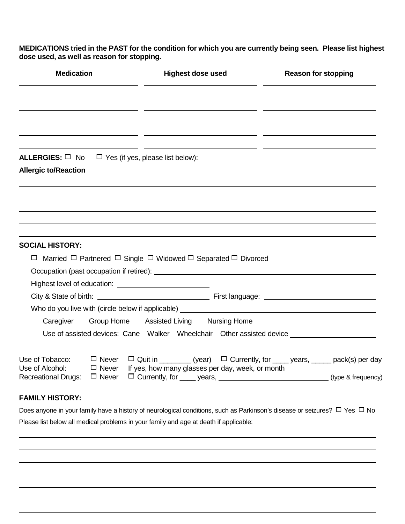**MEDICATIONS tried in the PAST for the condition for which you are currently being seen. Please list highest dose used, as well as reason for stopping.**

| <b>Medication</b>                              |              | <b>Highest dose used</b>                                                                                                                                | <b>Reason for stopping</b> |  |  |
|------------------------------------------------|--------------|---------------------------------------------------------------------------------------------------------------------------------------------------------|----------------------------|--|--|
|                                                |              |                                                                                                                                                         |                            |  |  |
|                                                |              |                                                                                                                                                         |                            |  |  |
|                                                |              |                                                                                                                                                         |                            |  |  |
| ALLERGIES: □ No<br><b>Allergic to/Reaction</b> |              | $\Box$ Yes (if yes, please list below):                                                                                                                 |                            |  |  |
|                                                |              |                                                                                                                                                         |                            |  |  |
|                                                |              |                                                                                                                                                         |                            |  |  |
|                                                |              |                                                                                                                                                         |                            |  |  |
|                                                |              |                                                                                                                                                         |                            |  |  |
| <b>SOCIAL HISTORY:</b>                         |              |                                                                                                                                                         |                            |  |  |
|                                                |              | $\Box$ Married $\Box$ Partnered $\Box$ Single $\Box$ Widowed $\Box$ Separated $\Box$ Divorced                                                           |                            |  |  |
|                                                |              |                                                                                                                                                         |                            |  |  |
|                                                |              |                                                                                                                                                         |                            |  |  |
|                                                |              |                                                                                                                                                         |                            |  |  |
|                                                |              | Who do you live with (circle below if applicable) _______________________________                                                                       |                            |  |  |
| Caregiver                                      |              | Group Home Assisted Living Nursing Home                                                                                                                 |                            |  |  |
|                                                |              | Use of assisted devices: Cane Walker Wheelchair Other assisted device                                                                                   |                            |  |  |
| Use of Tobacco:<br>Use of Alcohol:             | $\Box$ Never | $\Box$ Never $\Box$ Quit in ________ (year) $\Box$ Currently, for ____ years, _____ pack(s) per day<br>If yes, how many glasses per day, week, or month |                            |  |  |
| <b>Recreational Drugs:</b>                     | $\Box$ Never | □ Currently, for _____ years, _________________________________(type & frequency)                                                                       |                            |  |  |
| <b>FAMILY HISTORY:</b>                         |              |                                                                                                                                                         |                            |  |  |

Does anyone in your family have a history of neurological conditions, such as Parkinson's disease or seizures?  $\Box$  Yes  $\Box$  No Please list below all medical problems in your family and age at death if applicable: